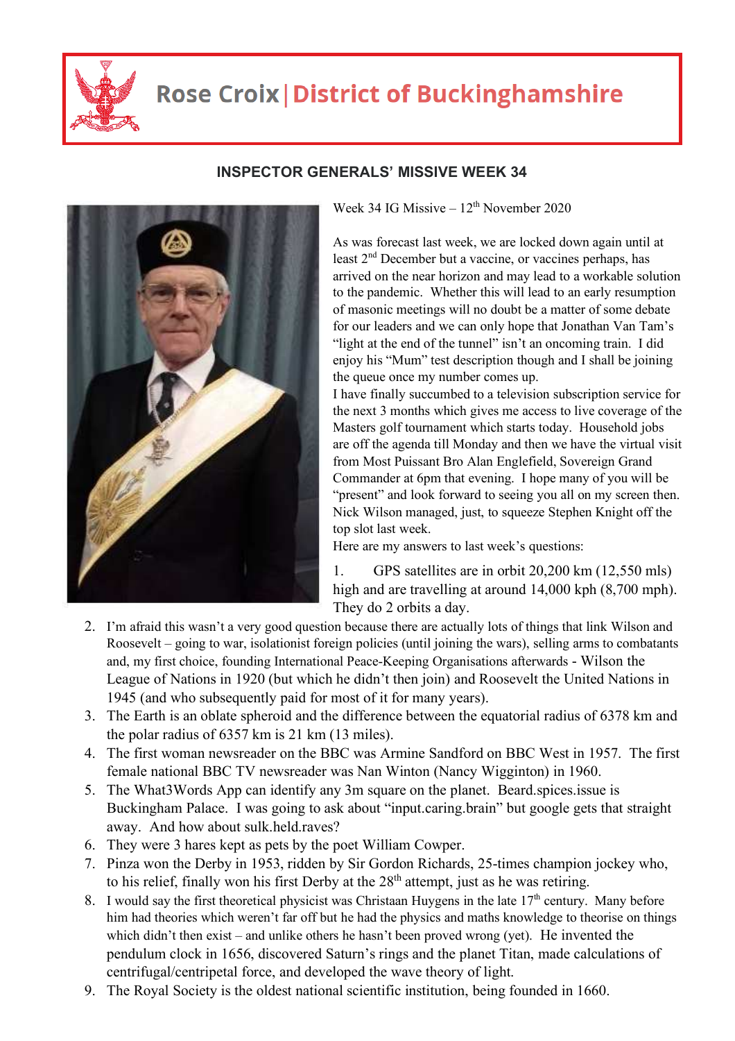

## **Rose Croix | District of Buckinghamshire**



## **INSPECTOR GENERALS' MISSIVE WEEK 34**

Week 34 IG Missive –  $12<sup>th</sup>$  November 2020

As was forecast last week, we are locked down again until at least 2nd December but a vaccine, or vaccines perhaps, has arrived on the near horizon and may lead to a workable solution to the pandemic. Whether this will lead to an early resumption of masonic meetings will no doubt be a matter of some debate for our leaders and we can only hope that Jonathan Van Tam's "light at the end of the tunnel" isn't an oncoming train. I did enjoy his "Mum" test description though and I shall be joining the queue once my number comes up.

I have finally succumbed to a television subscription service for the next 3 months which gives me access to live coverage of the Masters golf tournament which starts today. Household jobs are off the agenda till Monday and then we have the virtual visit from Most Puissant Bro Alan Englefield, Sovereign Grand Commander at 6pm that evening. I hope many of you will be "present" and look forward to seeing you all on my screen then. Nick Wilson managed, just, to squeeze Stephen Knight off the top slot last week.

Here are my answers to last week's questions:

1. GPS satellites are in orbit 20,200 km (12,550 mls) high and are travelling at around 14,000 kph  $(8,700 \text{ mph})$ . They do 2 orbits a day.

- 2. I'm afraid this wasn't a very good question because there are actually lots of things that link Wilson and Roosevelt – going to war, isolationist foreign policies (until joining the wars), selling arms to combatants and, my first choice, founding International Peace-Keeping Organisations afterwards - Wilson the League of Nations in 1920 (but which he didn't then join) and Roosevelt the United Nations in 1945 (and who subsequently paid for most of it for many years).
- 3. The Earth is an oblate spheroid and the difference between the equatorial radius of 6378 km and the polar radius of 6357 km is 21 km (13 miles).
- 4. The first woman newsreader on the BBC was Armine Sandford on BBC West in 1957. The first female national BBC TV newsreader was Nan Winton (Nancy Wigginton) in 1960.
- 5. The What3Words App can identify any 3m square on the planet. Beard.spices.issue is Buckingham Palace. I was going to ask about "input.caring.brain" but google gets that straight away. And how about sulk.held.raves?
- 6. They were 3 hares kept as pets by the poet William Cowper.
- 7. Pinza won the Derby in 1953, ridden by Sir Gordon Richards, 25-times champion jockey who, to his relief, finally won his first Derby at the  $28<sup>th</sup>$  attempt, just as he was retiring.
- 8. I would say the first theoretical physicist was Christaan Huygens in the late  $17<sup>th</sup>$  century. Many before him had theories which weren't far off but he had the physics and maths knowledge to theorise on things which didn't then exist – and unlike others he hasn't been proved wrong (yet). He invented the pendulum clock in 1656, discovered Saturn's rings and the planet Titan, made calculations of centrifugal/centripetal force, and developed the wave theory of light.
- 9. The Royal Society is the oldest national scientific institution, being founded in 1660.